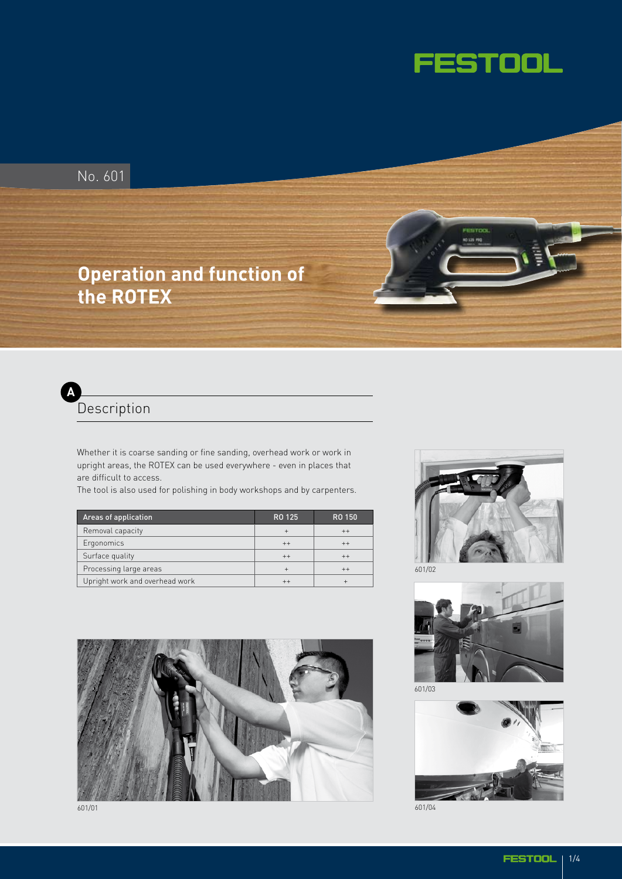

No. 601

# **Operation and function of the ROTEX**



Whether it is coarse sanding or fine sanding, overhead work or work in upright areas, the ROTEX can be used everywhere - even in places that are difficult to access.

The tool is also used for polishing in body workshops and by carpenters.

| Areas of application           | RO 125  | RO 150  |
|--------------------------------|---------|---------|
| Removal capacity               |         | $^{++}$ |
| Ergonomics                     | $^{++}$ | $++$    |
| Surface quality                | $++$    | $^{++}$ |
| Processing large areas         |         | $^{++}$ |
| Upright work and overhead work |         |         |







601/03



601/04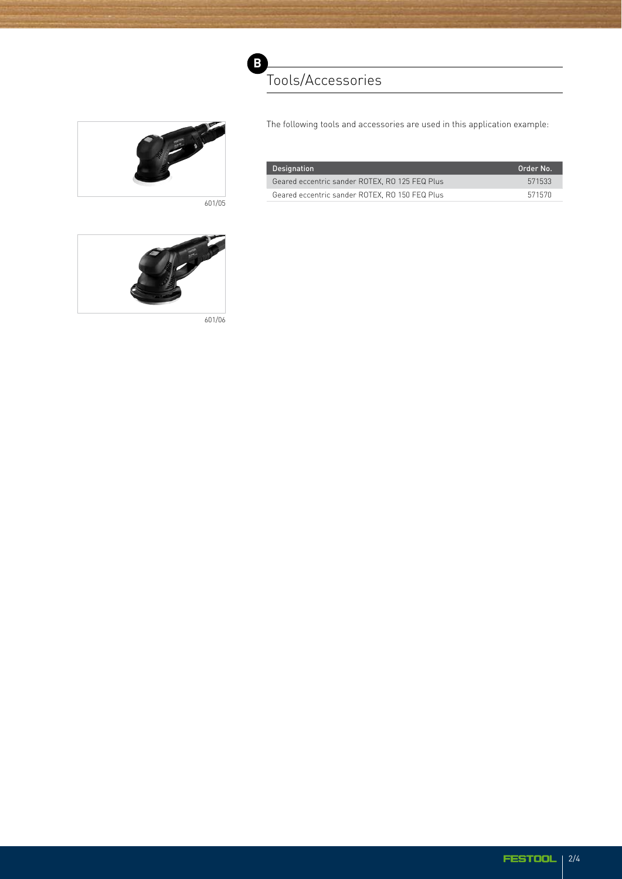

601/05



The following tools and accessories are used in this application example:

| Designation                                    | Order No. |
|------------------------------------------------|-----------|
| Geared eccentric sander ROTEX, RO 125 FEQ Plus | 571533    |
| Geared eccentric sander ROTEX, RO 150 FEQ Plus | 571570    |



601/06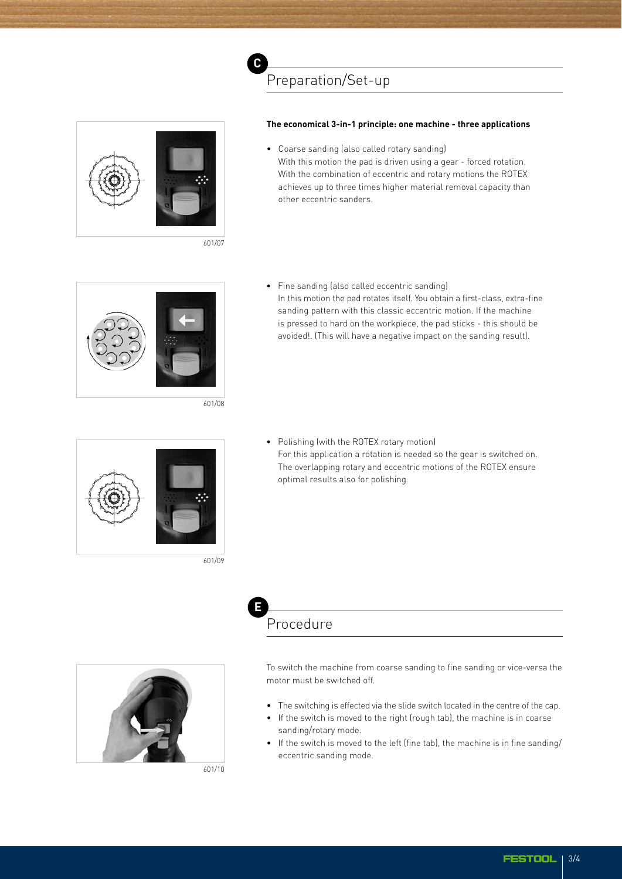

601/07

### **The economical 3-in-1 principle: one machine - three applications**

• Coarse sanding (also called rotary sanding) With this motion the pad is driven using a gear - forced rotation. With the combination of eccentric and rotary motions the ROTEX achieves up to three times higher material removal capacity than other eccentric sanders.



601/08



601/09

• Fine sanding (also called eccentric sanding) In this motion the pad rotates itself. You obtain a first-class, extra-fine sanding pattern with this classic eccentric motion. If the machine is pressed to hard on the workpiece, the pad sticks - this should be avoided!. (This will have a negative impact on the sanding result).

• Polishing (with the ROTEX rotary motion) For this application a rotation is needed so the gear is switched on. The overlapping rotary and eccentric motions of the ROTEX ensure optimal results also for polishing.

## Procedure **E**

601/10

To switch the machine from coarse sanding to fine sanding or vice-versa the motor must be switched off.

- The switching is effected via the slide switch located in the centre of the cap.
- If the switch is moved to the right (rough tab), the machine is in coarse sanding/rotary mode.
- If the switch is moved to the left (fine tab), the machine is in fine sanding/ eccentric sanding mode.

**FESTOOL** 3/4